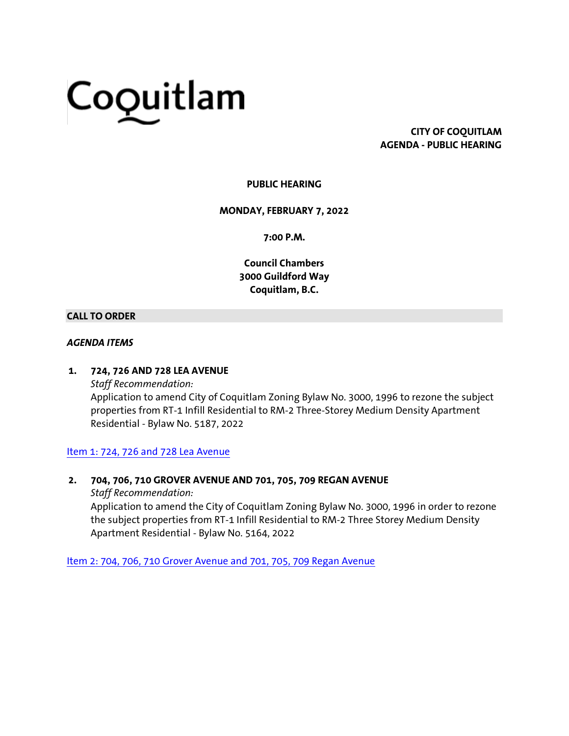# Coquitlam

# **CITY OF COQUITLAM AGENDA - PUBLIC HEARING**

# **PUBLIC HEARING**

#### **MONDAY, FEBRUARY 7, 2022**

**7:00 P.M.**

**Council Chambers 3000 Guildford Way Coquitlam, B.C.**

#### **CALL TO ORDER**

#### *AGENDA ITEMS*

#### **1. 724, 726 AND 728 LEA AVENUE**

*Staff Recommendation:* Application to amend City of Coquitlam Zoning Bylaw No. 3000, 1996 to rezone the subject properties from RT-1 Infill Residential to RM-2 Three-Storey Medium Density Apartment Residential - Bylaw No. 5187, 2022

#### [Item 1: 724, 726 and 728 Lea Avenue](https://coquitlam.ca.granicus.com/MetaViewer.php?view_id=2&event_id=1287&meta_id=52195)

## **2. 704, 706, 710 GROVER AVENUE AND 701, 705, 709 REGAN AVENUE**

*Staff Recommendation:*

Application to amend the City of Coquitlam Zoning Bylaw No. 3000, 1996 in order to rezone the subject properties from RT-1 Infill Residential to RM-2 Three Storey Medium Density Apartment Residential - Bylaw No. 5164, 2022

[Item 2: 704, 706, 710 Grover Avenue and 701, 705, 709 Regan Avenue](https://coquitlam.ca.granicus.com/MetaViewer.php?view_id=2&event_id=1287&meta_id=52197)